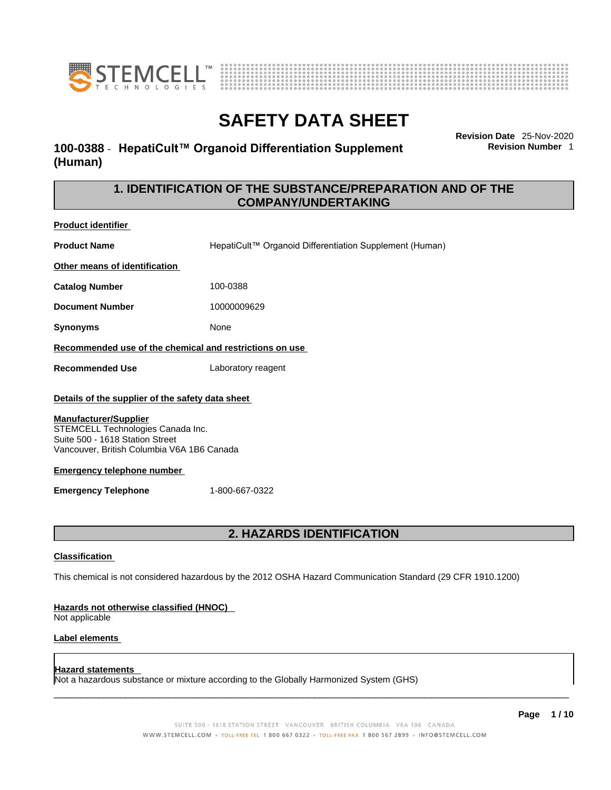



## **100-0388** - **HepatiCult™ Organoid Differentiation Supplement (Human)**

**Revision Date** 25-Nov-2020 **Revision Number** 1

## **1. IDENTIFICATION OF THE SUBSTANCE/PREPARATION AND OF THE COMPANY/UNDERTAKING**

**Product identifier Product Name HepatiCult™ Organoid Differentiation Supplement (Human) Other means of identification Catalog Number** 100-0388 **Document Number** 10000009629 **Synonyms** None **Recommended use of the chemical and restrictions on use Recommended Use** Laboratory reagent **Details of the supplier of the safety data sheet**

### **Manufacturer/Supplier**

STEMCELL Technologies Canada Inc. Suite 500 - 1618 Station Street Vancouver, British Columbia V6A 1B6 Canada

### **Emergency telephone number**

**Emergency Telephone** 1-800-667-0322

## **2. HAZARDS IDENTIFICATION**

### **Classification**

This chemical is not considered hazardous by the 2012 OSHA Hazard Communication Standard (29 CFR 1910.1200)

### **Hazards not otherwise classified (HNOC)**

Not applicable

### **Label elements**

### **Hazard statements**

Not a hazardous substance or mixture according to the Globally Harmonized System (GHS)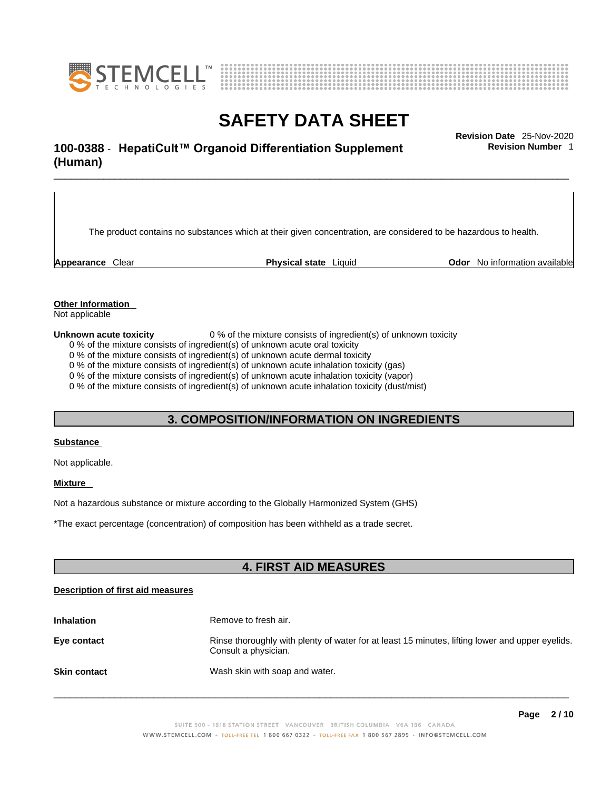



## \_\_\_\_\_\_\_\_\_\_\_\_\_\_\_\_\_\_\_\_\_\_\_\_\_\_\_\_\_\_\_\_\_\_\_\_\_\_\_\_\_\_\_\_\_\_\_\_\_\_\_\_\_\_\_\_\_\_\_\_\_\_\_\_\_\_\_\_\_\_\_\_\_\_\_\_\_\_\_\_\_\_\_\_\_\_\_\_\_\_\_\_\_ **Revision Date** 25-Nov-2020 **100-0388** - **HepatiCult™ Organoid Differentiation Supplement (Human)**

**Revision Number** 1

The product contains no substances which at their given concentration, are considered to be hazardous to health.

**Appearance** Clear **Physical state** Liquid **Odor** No information available

**Other Information** 

Not applicable

**Unknown acute toxicity** 0 % of the mixture consists of ingredient(s) of unknown toxicity

0 % of the mixture consists of ingredient(s) of unknown acute oral toxicity

0 % of the mixture consists of ingredient(s) of unknown acute dermal toxicity

0 % of the mixture consists of ingredient(s) of unknown acute inhalation toxicity (gas)

0 % of the mixture consists of ingredient(s) of unknown acute inhalation toxicity (vapor)

0 % of the mixture consists of ingredient(s) of unknown acute inhalation toxicity (dust/mist)

## **3. COMPOSITION/INFORMATION ON INGREDIENTS**

### **Substance**

Not applicable.

## **Mixture**

Not a hazardous substance or mixture according to the Globally Harmonized System (GHS)

\*The exact percentage (concentration) ofcomposition has been withheld as a trade secret.

## **4. FIRST AID MEASURES**

## **Description of first aid measures**

| <b>Inhalation</b>   | Remove to fresh air.                                                                                                    |
|---------------------|-------------------------------------------------------------------------------------------------------------------------|
| Eye contact         | Rinse thoroughly with plenty of water for at least 15 minutes, lifting lower and upper eyelids.<br>Consult a physician. |
| <b>Skin contact</b> | Wash skin with soap and water.                                                                                          |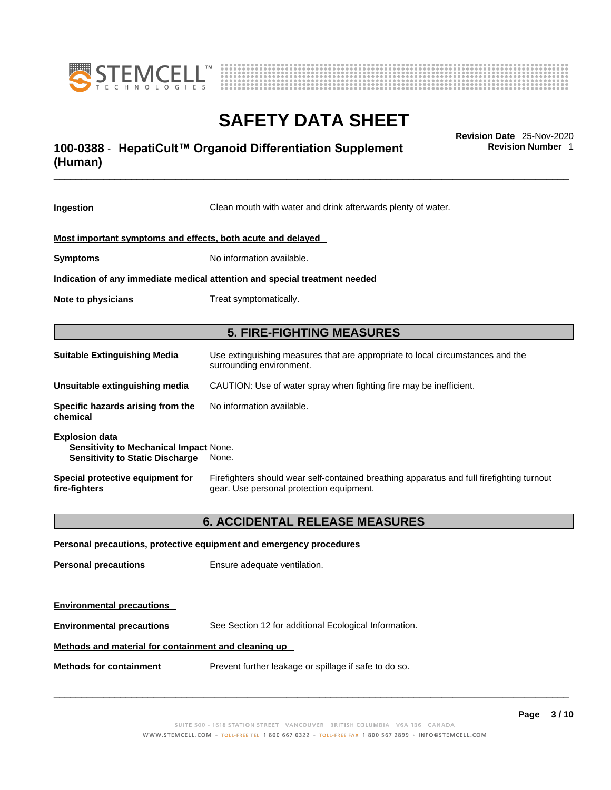



## \_\_\_\_\_\_\_\_\_\_\_\_\_\_\_\_\_\_\_\_\_\_\_\_\_\_\_\_\_\_\_\_\_\_\_\_\_\_\_\_\_\_\_\_\_\_\_\_\_\_\_\_\_\_\_\_\_\_\_\_\_\_\_\_\_\_\_\_\_\_\_\_\_\_\_\_\_\_\_\_\_\_\_\_\_\_\_\_\_\_\_\_\_ **Revision Date** 25-Nov-2020 **100-0388** - **HepatiCult™ Organoid Differentiation Supplement (Human)**

**Revision Number** 1

| Ingestion                                                                                                 | Clean mouth with water and drink afterwards plenty of water.                                                                          |  |
|-----------------------------------------------------------------------------------------------------------|---------------------------------------------------------------------------------------------------------------------------------------|--|
| Most important symptoms and effects, both acute and delayed                                               |                                                                                                                                       |  |
| <b>Symptoms</b>                                                                                           | No information available.                                                                                                             |  |
| Indication of any immediate medical attention and special treatment needed                                |                                                                                                                                       |  |
| Note to physicians                                                                                        | Treat symptomatically.                                                                                                                |  |
|                                                                                                           | <b>5. FIRE-FIGHTING MEASURES</b>                                                                                                      |  |
|                                                                                                           |                                                                                                                                       |  |
| <b>Suitable Extinguishing Media</b>                                                                       | Use extinguishing measures that are appropriate to local circumstances and the<br>surrounding environment.                            |  |
| Unsuitable extinguishing media                                                                            | CAUTION: Use of water spray when fighting fire may be inefficient.                                                                    |  |
| Specific hazards arising from the<br>chemical                                                             | No information available.                                                                                                             |  |
| <b>Explosion data</b><br>Sensitivity to Mechanical Impact None.<br><b>Sensitivity to Static Discharge</b> | None.                                                                                                                                 |  |
| Special protective equipment for<br>fire-fighters                                                         | Firefighters should wear self-contained breathing apparatus and full firefighting turnout<br>gear. Use personal protection equipment. |  |
|                                                                                                           | <b>6. ACCIDENTAL RELEASE MEASURES</b>                                                                                                 |  |
|                                                                                                           | Personal precautions, protective equipment and emergency procedures                                                                   |  |
| <b>Personal precautions</b>                                                                               | Ensure adequate ventilation.                                                                                                          |  |
| <b>Environmental precautions</b>                                                                          |                                                                                                                                       |  |

**Environmental precautions** See Section 12 for additional Ecological Information.

## **Methods and material for containment and cleaning up**

**Methods for containment** Prevent further leakage or spillage if safe to do so.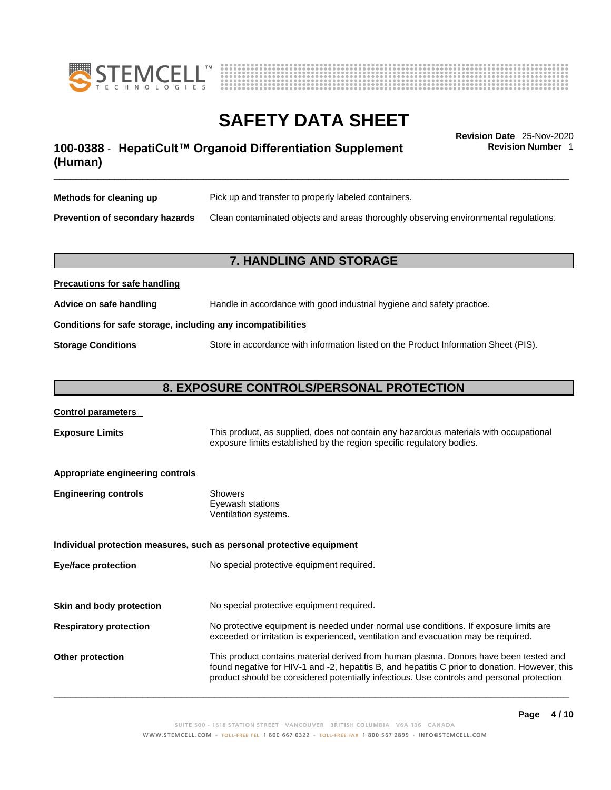



## \_\_\_\_\_\_\_\_\_\_\_\_\_\_\_\_\_\_\_\_\_\_\_\_\_\_\_\_\_\_\_\_\_\_\_\_\_\_\_\_\_\_\_\_\_\_\_\_\_\_\_\_\_\_\_\_\_\_\_\_\_\_\_\_\_\_\_\_\_\_\_\_\_\_\_\_\_\_\_\_\_\_\_\_\_\_\_\_\_\_\_\_\_ **Revision Date** 25-Nov-2020 **100-0388** - **HepatiCult™ Organoid Differentiation Supplement (Human)**

**Revision Number** 1

| Methods for cleaning up         | Pick up and transfer to properly labeled containers.                                 |
|---------------------------------|--------------------------------------------------------------------------------------|
| Prevention of secondary hazards | Clean contaminated objects and areas thoroughly observing environmental regulations. |

## **7. HANDLING AND STORAGE**

| <b>I</b> recaduotis for safe handling                        |                                                                                     |  |
|--------------------------------------------------------------|-------------------------------------------------------------------------------------|--|
| Advice on safe handling                                      | Handle in accordance with good industrial hygiene and safety practice.              |  |
| Conditions for safe storage, including any incompatibilities |                                                                                     |  |
| <b>Storage Conditions</b>                                    | Store in accordance with information listed on the Product Information Sheet (PIS). |  |

## **8. EXPOSURE CONTROLS/PERSONAL PROTECTION**

### **Control parameters**

**Precautions for safe handling**

**Exposure Limits** This product, as supplied, does not contain any hazardous materials with occupational exposure limits established by the region specific regulatory bodies.

### **Appropriate engineering controls**

| <b>Engineering controls</b> | Showers              |
|-----------------------------|----------------------|
|                             | Eyewash stations     |
|                             | Ventilation systems. |

**Individual protection measures, such as personal protective equipment Eye/face protection** No special protective equipment required.

**Skin and body protection** No special protective equipment required.

## **Respiratory protection** No protective equipment is needed under normal use conditions. If exposure limits are exceeded or irritation is experienced, ventilation and evacuation may be required.

**Other protection** This product contains material derived from human plasma. Donors have been tested and found negative for HIV-1 and -2, hepatitis B, and hepatitis C prior to donation. However, this product should be considered potentially infectious. Use controls and personal protection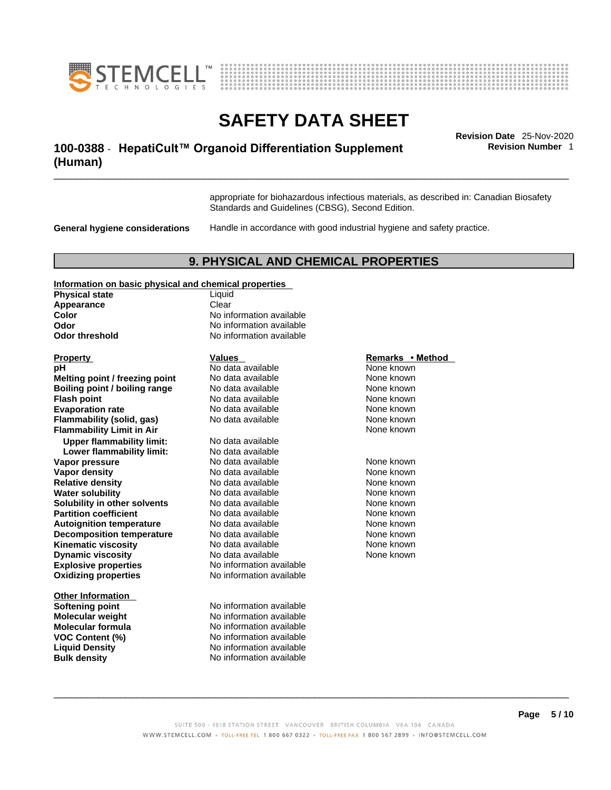



## \_\_\_\_\_\_\_\_\_\_\_\_\_\_\_\_\_\_\_\_\_\_\_\_\_\_\_\_\_\_\_\_\_\_\_\_\_\_\_\_\_\_\_\_\_\_\_\_\_\_\_\_\_\_\_\_\_\_\_\_\_\_\_\_\_\_\_\_\_\_\_\_\_\_\_\_\_\_\_\_\_\_\_\_\_\_\_\_\_\_\_\_\_ **Revision Date** 25-Nov-2020 **100-0388** - **HepatiCult™ Organoid Differentiation Supplement (Human)**

**Revision Number** 1

appropriate for biohazardous infectious materials, as described in: Canadian Biosafety Standards and Guidelines (CBSG), Second Edition.

**General hygiene considerations** Handle in accordance with good industrial hygiene and safety practice.

## **9. PHYSICAL AND CHEMICAL PROPERTIES**

### **Information on basic physical and chemical properties**

| <b>Physical state</b> | Liquid             |
|-----------------------|--------------------|
| Appearance            | Clear              |
| Color                 | No information ava |
| Odor                  | No information ava |
| <b>Odor threshold</b> | No information ava |
|                       |                    |

**Explosive properties**<br> **Oxidizing properties**<br>
No information available **Oxidizing properties Property CONSIDER IN STATE ASSESSED ASSESSED ASSESSED AT A REMARKS • Method pH Notata available Notational Mone known None known Melting point / freezing point** No data available None known<br> **Roiling point / boiling range** No data available None known **Boiling point / boiling range** No data available None known<br> **Flash point / boiling range** No data available None known **Flash point** No data available **Evaporation rate Reserve Structure No data available Mone Known** None known **Flammability (solid, gas)** No data available None Known None known **Flammability Limit in Air None known None known Upper flammability limit:** No data available **Lower flammability limit:** No data available **Vapor pressure No data available Mone known**<br> **Vapor density No data available** Mone known **Vapor density Relative density No data available None known**<br> **Water solubility No data available None known**<br>
No data available **Water solubility No data available** None known **Solubility in other solvents** No data available None known **Partition coefficient No data available Mone known Autoignition temperature No data available Mone Known** None known **Decomposition temperature** No data available None known **Kinematic viscosity**<br> **Community** No data available<br>
No data available<br>
None known **Dynamic viscosity No data available None known** 

**Other Information**<br>Softening point **Bulk density No information available** 

**Liquid No information available Odor** No information available **No information available** 

**Softening point** No information available **Molecular weight** No information available **Molecular formula** No information available **VOC Content (%)** No information available **Liquid Density** No information available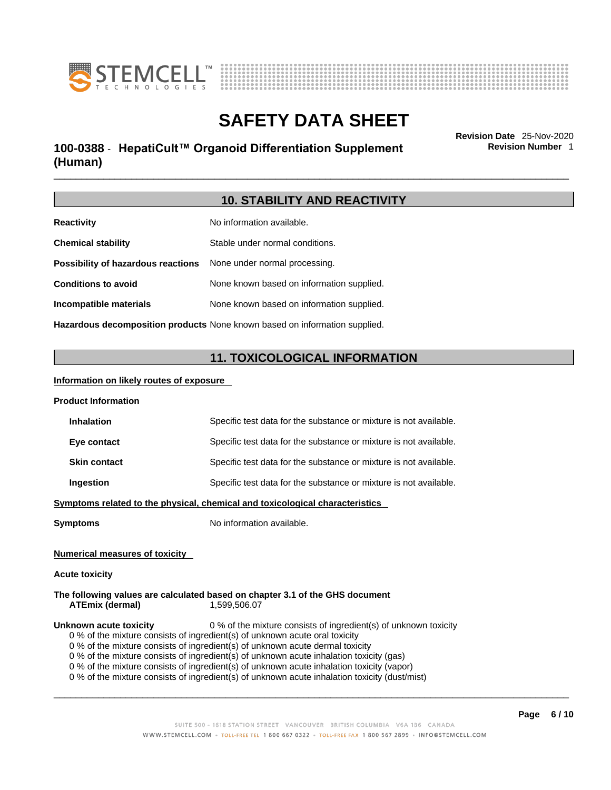![](_page_5_Picture_0.jpeg)

![](_page_5_Figure_1.jpeg)

## \_\_\_\_\_\_\_\_\_\_\_\_\_\_\_\_\_\_\_\_\_\_\_\_\_\_\_\_\_\_\_\_\_\_\_\_\_\_\_\_\_\_\_\_\_\_\_\_\_\_\_\_\_\_\_\_\_\_\_\_\_\_\_\_\_\_\_\_\_\_\_\_\_\_\_\_\_\_\_\_\_\_\_\_\_\_\_\_\_\_\_\_\_ **Revision Date** 25-Nov-2020 **100-0388** - **HepatiCult™ Organoid Differentiation Supplement (Human)**

**Revision Number** 1

## **10. STABILITY AND REACTIVITY**

| <b>Reactivity</b>                                                          | No information available.                 |
|----------------------------------------------------------------------------|-------------------------------------------|
| <b>Chemical stability</b>                                                  | Stable under normal conditions.           |
| Possibility of hazardous reactions                                         | None under normal processing.             |
| <b>Conditions to avoid</b>                                                 | None known based on information supplied. |
| Incompatible materials                                                     | None known based on information supplied. |
| Hazardous decomposition products None known based on information supplied. |                                           |

## **11. TOXICOLOGICAL INFORMATION**

## **Information on likely routes of exposure**

| <b>Product Information</b>            |                                                                                              |
|---------------------------------------|----------------------------------------------------------------------------------------------|
| <b>Inhalation</b>                     | Specific test data for the substance or mixture is not available.                            |
| Eye contact                           | Specific test data for the substance or mixture is not available.                            |
| <b>Skin contact</b>                   | Specific test data for the substance or mixture is not available.                            |
| Ingestion                             | Specific test data for the substance or mixture is not available.                            |
|                                       | Symptoms related to the physical, chemical and toxicological characteristics                 |
| <b>Symptoms</b>                       | No information available.                                                                    |
|                                       |                                                                                              |
| <b>Numerical measures of toxicity</b> |                                                                                              |
| <b>Acute toxicity</b>                 |                                                                                              |
| <b>ATEmix (dermal)</b>                | The following values are calculated based on chapter 3.1 of the GHS document<br>1,599,506.07 |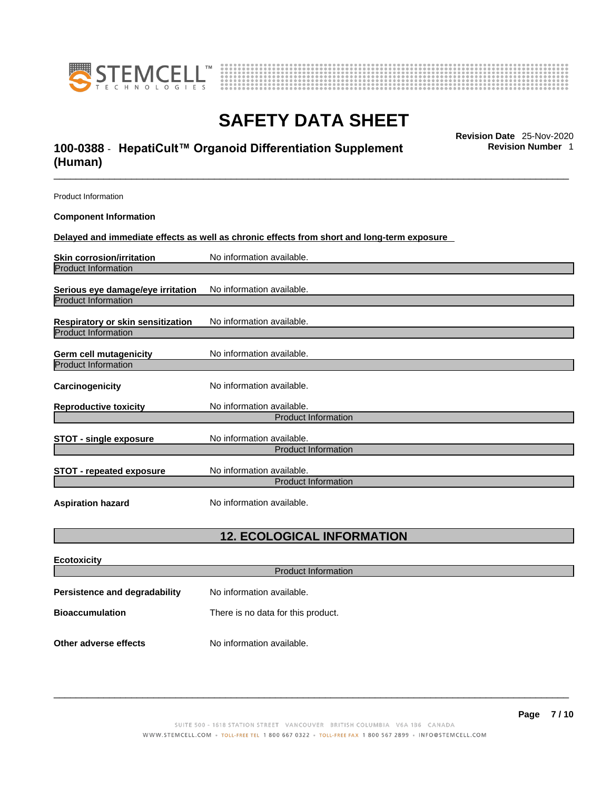![](_page_6_Picture_0.jpeg)

![](_page_6_Figure_1.jpeg)

## \_\_\_\_\_\_\_\_\_\_\_\_\_\_\_\_\_\_\_\_\_\_\_\_\_\_\_\_\_\_\_\_\_\_\_\_\_\_\_\_\_\_\_\_\_\_\_\_\_\_\_\_\_\_\_\_\_\_\_\_\_\_\_\_\_\_\_\_\_\_\_\_\_\_\_\_\_\_\_\_\_\_\_\_\_\_\_\_\_\_\_\_\_ **Revision Date** 25-Nov-2020 **100-0388** - **HepatiCult™ Organoid Differentiation Supplement (Human)**

**Revision Number** 1

| <b>Product Information</b>               |                                                                                                   |
|------------------------------------------|---------------------------------------------------------------------------------------------------|
| <b>Component Information</b>             |                                                                                                   |
|                                          | <u>Delayed and immediate effects as well as chronic effects from short and long-term exposure</u> |
| Skin corrosion/irritation                | No information available.                                                                         |
| <b>Product Information</b>               |                                                                                                   |
| Serious eye damage/eye irritation        | No information available.                                                                         |
| <b>Product Information</b>               |                                                                                                   |
| <b>Respiratory or skin sensitization</b> | No information available.                                                                         |
| <b>Product Information</b>               |                                                                                                   |
| Germ cell mutagenicity                   | No information available.                                                                         |
| <b>Product Information</b>               |                                                                                                   |
| <b>Carcinogenicity</b>                   | No information available.                                                                         |
| <b>Reproductive toxicity</b>             | No information available.                                                                         |
|                                          | <b>Product Information</b>                                                                        |
| <b>STOT - single exposure</b>            | No information available.                                                                         |
|                                          | <b>Product Information</b>                                                                        |
| <b>STOT - repeated exposure</b>          | No information available.<br><b>Product Information</b>                                           |
| <b>Aspiration hazard</b>                 | No information available.                                                                         |

## **12. ECOLOGICAL INFORMATION**

| <b>Ecotoxicity</b>            |                                    |  |
|-------------------------------|------------------------------------|--|
| <b>Product Information</b>    |                                    |  |
| Persistence and degradability | No information available.          |  |
| <b>Bioaccumulation</b>        | There is no data for this product. |  |
|                               |                                    |  |
| Other adverse effects         | No information available.          |  |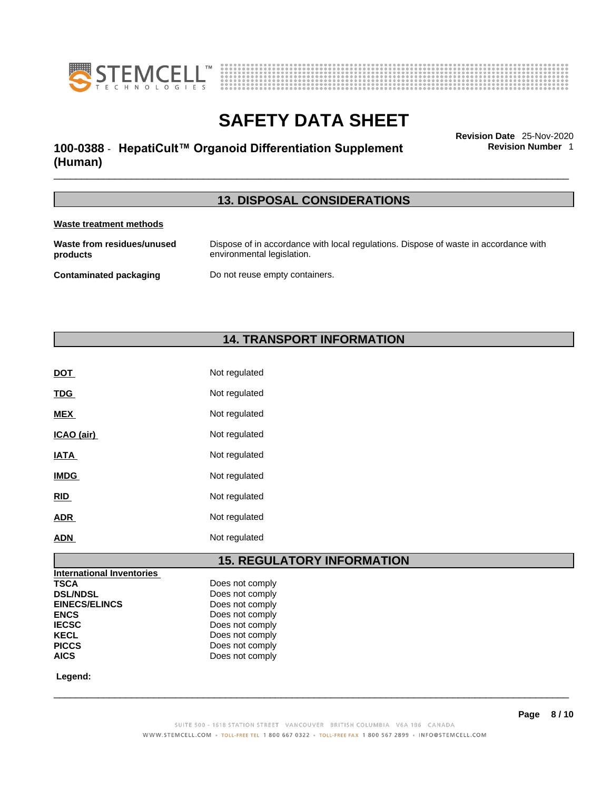![](_page_7_Picture_0.jpeg)

![](_page_7_Figure_1.jpeg)

## \_\_\_\_\_\_\_\_\_\_\_\_\_\_\_\_\_\_\_\_\_\_\_\_\_\_\_\_\_\_\_\_\_\_\_\_\_\_\_\_\_\_\_\_\_\_\_\_\_\_\_\_\_\_\_\_\_\_\_\_\_\_\_\_\_\_\_\_\_\_\_\_\_\_\_\_\_\_\_\_\_\_\_\_\_\_\_\_\_\_\_\_\_ **Revision Date** 25-Nov-2020 **100-0388** - **HepatiCult™ Organoid Differentiation Supplement (Human)**

**Revision Number** 1

## **13. DISPOSAL CONSIDERATIONS**

## **Waste treatment methods**

| Waste from residues/unused | Dispose of in accordance with local regulations. Dispose of waste in accordance with |
|----------------------------|--------------------------------------------------------------------------------------|
| products                   | environmental legislation.                                                           |
| Contaminated packaging     | Do not reuse empty containers.                                                       |

## **14. TRANSPORT INFORMATION**

| <b>DOT</b>  | Not regulated |
|-------------|---------------|
| <b>TDG</b>  | Not regulated |
| <b>MEX</b>  | Not regulated |
| ICAO (air)  | Not regulated |
| <b>IATA</b> | Not regulated |
| <b>IMDG</b> | Not regulated |
| <b>RID</b>  | Not regulated |
| <b>ADR</b>  | Not regulated |
| <b>ADN</b>  | Not regulated |

## **15. REGULATORY INFORMATION**

| Does not comply |
|-----------------|
| Does not comply |
| Does not comply |
| Does not comply |
| Does not comply |
| Does not comply |
| Does not comply |
| Does not comply |
|                 |

 **Legend:**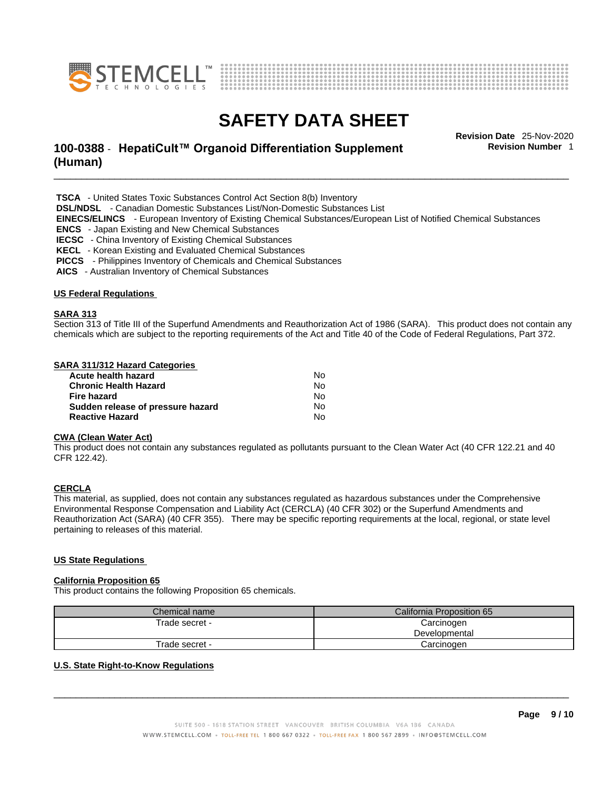![](_page_8_Picture_0.jpeg)

![](_page_8_Figure_1.jpeg)

## \_\_\_\_\_\_\_\_\_\_\_\_\_\_\_\_\_\_\_\_\_\_\_\_\_\_\_\_\_\_\_\_\_\_\_\_\_\_\_\_\_\_\_\_\_\_\_\_\_\_\_\_\_\_\_\_\_\_\_\_\_\_\_\_\_\_\_\_\_\_\_\_\_\_\_\_\_\_\_\_\_\_\_\_\_\_\_\_\_\_\_\_\_ **Revision Date** 25-Nov-2020 **100-0388** - **HepatiCult™ Organoid Differentiation Supplement (Human)**

**Revision Number** 1

 **TSCA** - United States Toxic Substances Control Act Section 8(b) Inventory

 **DSL/NDSL** - Canadian Domestic Substances List/Non-Domestic Substances List

 **EINECS/ELINCS** - European Inventory of Existing Chemical Substances/European List of Notified Chemical Substances

 **ENCS** - Japan Existing and New Chemical Substances

 **IECSC** - China Inventory of Existing Chemical Substances

 **KECL** - Korean Existing and Evaluated Chemical Substances

 **PICCS** - Philippines Inventory of Chemicals and Chemical Substances

 **AICS** - Australian Inventory of Chemical Substances

### **US Federal Regulations**

### **SARA 313**

Section 313 of Title III of the Superfund Amendments and Reauthorization Act of 1986 (SARA). This product does not contain any chemicals which are subject to the reporting requirements of the Act and Title 40 of the Code of Federal Regulations, Part 372.

### **SARA 311/312 Hazard Categories**

| Acute health hazard               | No. |  |
|-----------------------------------|-----|--|
| Chronic Health Hazard             | N٥  |  |
| Fire hazard                       | No. |  |
| Sudden release of pressure hazard | No. |  |
| <b>Reactive Hazard</b>            | N٥  |  |

## **CWA** (Clean Water Act)

This product does not contain any substances regulated as pollutants pursuant to the Clean Water Act (40 CFR 122.21 and 40 CFR 122.42).

## **CERCLA**

This material, as supplied, does not contain any substances regulated as hazardous substances under the Comprehensive Environmental Response Compensation and Liability Act (CERCLA) (40 CFR 302) or the Superfund Amendments and Reauthorization Act (SARA) (40 CFR 355). There may be specific reporting requirements at the local, regional, or state level pertaining to releases of this material.

### **US State Regulations**

### **California Proposition 65**

This product contains the following Proposition 65 chemicals.

| Chemical name  | California Proposition 65   |
|----------------|-----------------------------|
| Frade secret - | Carcinogen<br>Developmental |
| Frade secret - | Carcinoɑen                  |

### **U.S. State Right-to-Know Regulations**